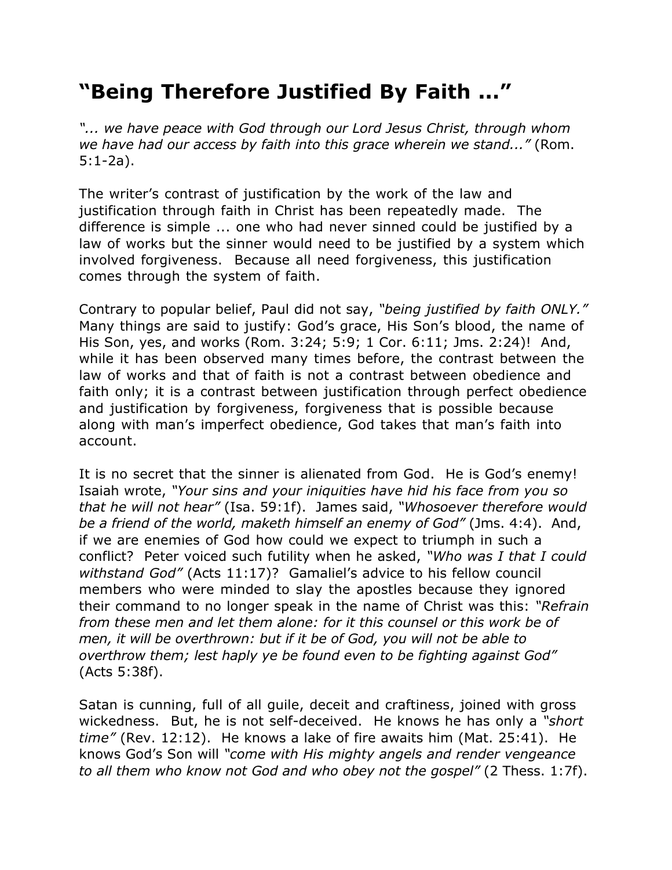## **"Being Therefore Justified By Faith ..."**

*"... we have peace with God through our Lord Jesus Christ, through whom we have had our access by faith into this grace wherein we stand..."* (Rom. 5:1-2a).

The writer's contrast of justification by the work of the law and justification through faith in Christ has been repeatedly made. The difference is simple ... one who had never sinned could be justified by a law of works but the sinner would need to be justified by a system which involved forgiveness. Because all need forgiveness, this justification comes through the system of faith.

Contrary to popular belief, Paul did not say, *"being justified by faith ONLY."* Many things are said to justify: God's grace, His Son's blood, the name of His Son, yes, and works (Rom. 3:24; 5:9; 1 Cor. 6:11; Jms. 2:24)! And, while it has been observed many times before, the contrast between the law of works and that of faith is not a contrast between obedience and faith only; it is a contrast between justification through perfect obedience and justification by forgiveness, forgiveness that is possible because along with man's imperfect obedience, God takes that man's faith into account.

It is no secret that the sinner is alienated from God. He is God's enemy! Isaiah wrote, *"Your sins and your iniquities have hid his face from you so that he will not hear"* (Isa. 59:1f). James said, *"Whosoever therefore would be a friend of the world, maketh himself an enemy of God"* (Jms. 4:4). And, if we are enemies of God how could we expect to triumph in such a conflict? Peter voiced such futility when he asked, *"Who was I that I could withstand God"* (Acts 11:17)? Gamaliel's advice to his fellow council members who were minded to slay the apostles because they ignored their command to no longer speak in the name of Christ was this: *"Refrain from these men and let them alone: for it this counsel or this work be of men, it will be overthrown: but if it be of God, you will not be able to overthrow them; lest haply ye be found even to be fighting against God"* (Acts 5:38f).

Satan is cunning, full of all guile, deceit and craftiness, joined with gross wickedness. But, he is not self-deceived. He knows he has only a *"short time"* (Rev. 12:12). He knows a lake of fire awaits him (Mat. 25:41). He knows God's Son will *"come with His mighty angels and render vengeance to all them who know not God and who obey not the gospel"* (2 Thess. 1:7f).